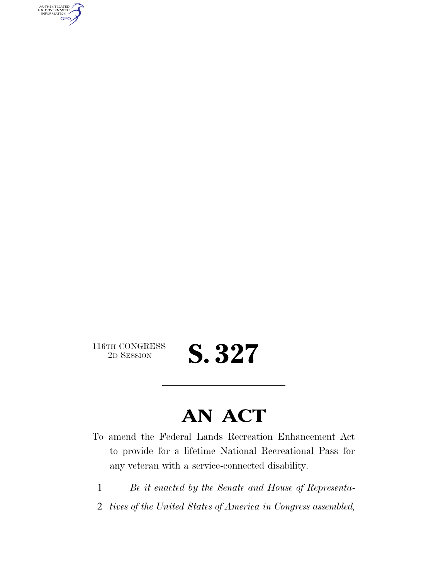AUTHENTICATED<br>U.S. GOVERNMENT<br>INFORMATION GPO

116TH CONGRESS<br>2D SESSION

2D SESSION **S. 327** 

## **AN ACT**

- To amend the Federal Lands Recreation Enhancement Act to provide for a lifetime National Recreational Pass for any veteran with a service-connected disability.
	- 1 *Be it enacted by the Senate and House of Representa-*
	- 2 *tives of the United States of America in Congress assembled,*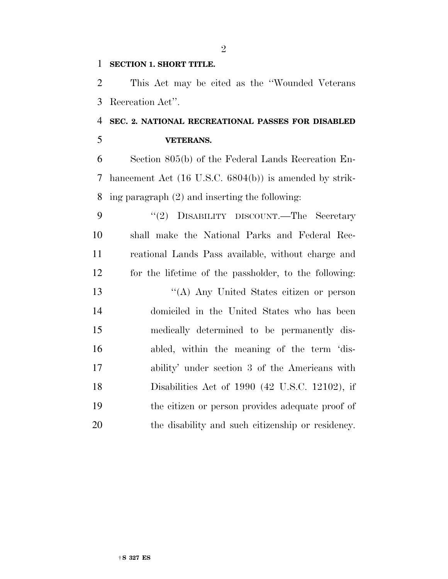## **SECTION 1. SHORT TITLE.**

 This Act may be cited as the ''Wounded Veterans Recreation Act''.

## **SEC. 2. NATIONAL RECREATIONAL PASSES FOR DISABLED VETERANS.**

 Section 805(b) of the Federal Lands Recreation En- hancement Act (16 U.S.C. 6804(b)) is amended by strik-ing paragraph (2) and inserting the following:

9 "(2) DISABILITY DISCOUNT.—The Secretary shall make the National Parks and Federal Rec- reational Lands Pass available, without charge and for the lifetime of the passholder, to the following:

 ''(A) Any United States citizen or person domiciled in the United States who has been medically determined to be permanently dis- abled, within the meaning of the term 'dis- ability' under section 3 of the Americans with Disabilities Act of 1990 (42 U.S.C. 12102), if the citizen or person provides adequate proof of the disability and such citizenship or residency.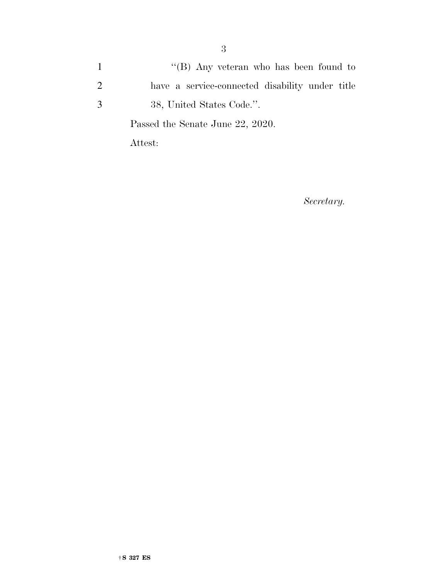1 ''(B) Any veteran who has been found to 2 have a service-connected disability under title 3 38, United States Code.''.

Passed the Senate June 22, 2020.

Attest:

*Secretary.*